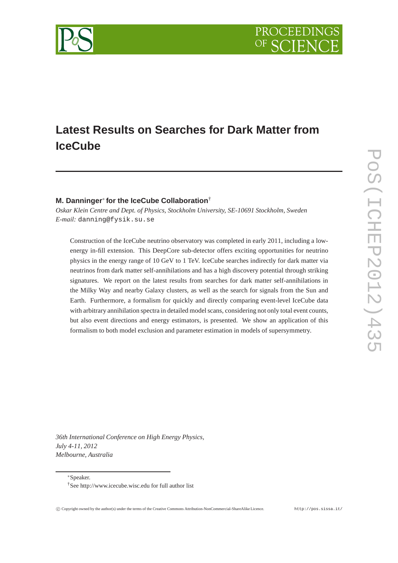

# **Latest Results on Searches for Dark Matter from IceCube**

## **M. Danninger**<sup>∗</sup> **for the IceCube Collaboration**†

*Oskar Klein Centre and Dept. of Physics, Stockholm University, SE-10691 Stockholm, Sweden E-mail:* danning@fysik.su.se

Construction of the IceCube neutrino observatory was completed in early 2011, including a lowenergy in-fill extension. This DeepCore sub-detector offers exciting opportunities for neutrino physics in the energy range of 10 GeV to 1 TeV. IceCube searches indirectly for dark matter via neutrinos from dark matter self-annihilations and has a high discovery potential through striking signatures. We report on the latest results from searches for dark matter self-annihilations in the Milky Way and nearby Galaxy clusters, as well as the search for signals from the Sun and Earth. Furthermore, a formalism for quickly and directly comparing event-level IceCube data with arbitrary annihilation spectra in detailed model scans, considering not only total event counts, but also event directions and energy estimators, is presented. We show an application of this formalism to both model exclusion and parameter estimation in models of supersymmetry.

*36th International Conference on High Energy Physics, July 4-11, 2012 Melbourne, Australia*

<sup>∗</sup>Speaker.

<sup>†</sup>See http://www.icecube.wisc.edu for full author list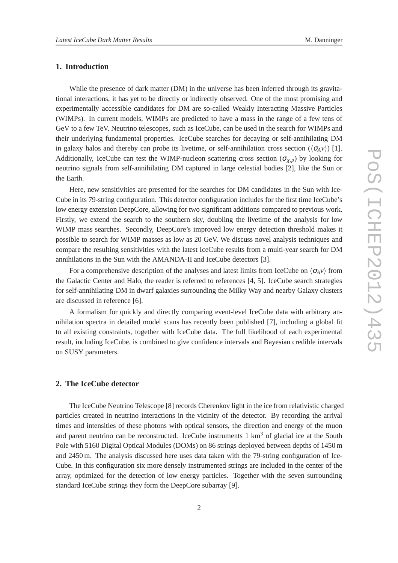### **1. Introduction**

While the presence of dark matter (DM) in the universe has been inferred through its gravitational interactions, it has yet to be directly or indirectly observed. One of the most promising and experimentally accessible candidates for DM are so-called Weakly Interacting Massive Particles (WIMPs). In current models, WIMPs are predicted to have a mass in the range of a few tens of GeV to a few TeV. Neutrino telescopes, such as IceCube, can be used in the search for WIMPs and their underlying fundamental properties. IceCube searches for decaying or self-annihilating DM in galaxy halos and thereby can probe its livetime, or self-annihilation cross section  $(\langle \sigma_A v \rangle)$  [1]. Additionally, IceCube can test the WIMP-nucleon scattering cross section  $(\sigma_{\chi,p})$  by looking for neutrino signals from self-annihilating DM captured in large celestial bodies [2], like the Sun or the Earth.

Here, new sensitivities are presented for the searches for DM candidates in the Sun with Ice-Cube in its 79-string configuration. This detector configuration includes for the first time IceCube's low energy extension DeepCore, allowing for two significant additions compared to previous work. Firstly, we extend the search to the southern sky, doubling the livetime of the analysis for low WIMP mass searches. Secondly, DeepCore's improved low energy detection threshold makes it possible to search for WIMP masses as low as 20 GeV. We discuss novel analysis techniques and compare the resulting sensitivities with the latest IceCube results from a multi-year search for DM annihilations in the Sun with the AMANDA-II and IceCube detectors [3].

For a comprehensive description of the analyses and latest limits from IceCube on  $\langle \sigma_A v \rangle$  from the Galactic Center and Halo, the reader is referred to references [4, 5]. IceCube search strategies for self-annihilating DM in dwarf galaxies surrounding the Milky Way and nearby Galaxy clusters are discussed in reference [6].

A formalism for quickly and directly comparing event-level IceCube data with arbitrary annihilation spectra in detailed model scans has recently been published [7], including a global fit to all existing constraints, together with IceCube data. The full likelihood of each experimental result, including IceCube, is combined to give confidence intervals and Bayesian credible intervals on SUSY parameters.

## **2. The IceCube detector**

The IceCube Neutrino Telescope [8] records Cherenkov light in the ice from relativistic charged particles created in neutrino interactions in the vicinity of the detector. By recording the arrival times and intensities of these photons with optical sensors, the direction and energy of the muon and parent neutrino can be reconstructed. IceCube instruments  $1 \text{ km}^3$  of glacial ice at the South Pole with 5160 Digital Optical Modules (DOMs) on 86 strings deployed between depths of 1450 m and 2450 m. The analysis discussed here uses data taken with the 79-string configuration of Ice-Cube. In this configuration six more densely instrumented strings are included in the center of the array, optimized for the detection of low energy particles. Together with the seven surrounding standard IceCube strings they form the DeepCore subarray [9].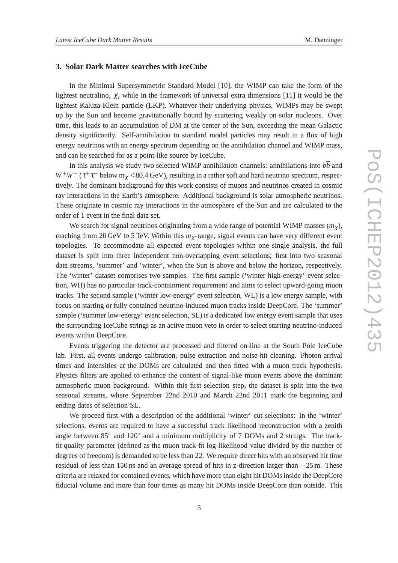# **3. Solar Dark Matter searches with IceCube**

In the Minimal Supersymmetric Standard Model [10], the WIMP can take the form of the lightest neutralino,  $\chi$ , while in the framework of universal extra dimensions [11] it would be the lightest Kaluza-Klein particle (LKP). Whatever their underlying physics, WIMPs may be swept up by the Sun and become gravitationally bound by scattering weakly on solar nucleons. Over time, this leads to an accumulation of DM at the center of the Sun, exceeding the mean Galactic density significantly. Self-annihilation to standard model particles may result in a flux of high energy neutrinos with an energy spectrum depending on the annihilation channel and WIMP mass, and can be searched for as a point-like source by IceCube.

In this analysis we study two selected WIMP annihilation channels: annihilations into  $b\overline{b}$  and  $W^+W^-$  ( $\tau^+\tau^-$  below m<sub> $\chi$ </sub> < 80.4 GeV), resulting in a rather soft and hard neutrino spectrum, respectively. The dominant background for this work consists of muons and neutrinos created in cosmic ray interactions in the Earth's atmosphere. Additional background is solar atmospheric neutrinos. These originate in cosmic ray interactions in the atmosphere of the Sun and are calculated to the order of 1 event in the final data set.

We search for signal neutrinos originating from a wide range of potential WIMP masses  $(m<sub>\gamma</sub>)$ , reaching from 20 GeV to 5 TeV. Within this *m*χ-range, signal events can have very different event topologies. To accommodate all expected event topologies within one single analysis, the full dataset is split into three independent non-overlapping event selections; first into two seasonal data streams, 'summer' and 'winter', when the Sun is above and below the horizon, respectively. The 'winter' dataset comprises two samples. The first sample ('winter high-energy' event selection, WH) has no particular track-containment requirement and aims to select upward-going muon tracks. The second sample ('winter low-energy' event selection, WL) is a low energy sample, with focus on starting or fully contained neutrino-induced muon tracks inside DeepCore. The 'summer' sample ('summer low-energy' event selection, SL) is a dedicated low energy event sample that uses the surrounding IceCube strings as an active muon veto in order to select starting neutrino-induced events within DeepCore.

Events triggering the detector are processed and filtered on-line at the South Pole IceCube lab. First, all events undergo calibration, pulse extraction and noise-hit cleaning. Photon arrival times and intensities at the DOMs are calculated and then fitted with a muon track hypothesis. Physics filters are applied to enhance the content of signal-like muon events above the dominant atmospheric muon background. Within this first selection step, the dataset is split into the two seasonal streams, where September 22nd 2010 and March 22nd 2011 mark the beginning and ending dates of selection SL.

We proceed first with a description of the additional 'winter' cut selections: In the 'winter' selections, events are required to have a successful track likelihood reconstruction with a zenith angle between 85° and 120° and a minimum multiplicity of 7 DOMs and 2 strings. The trackfit quality parameter (defined as the muon track-fit log-likelihood value divided by the number of degrees of freedom) is demanded to be less than 22. We require direct hits with an observed hit time residual of less than 150 ns and an average spread of hits in z-direction larger than −25 m. These criteria are relaxed for contained events, which have more than eight hit DOMs inside the DeepCore fiducial volume and more than four times as many hit DOMs inside DeepCore than outside. This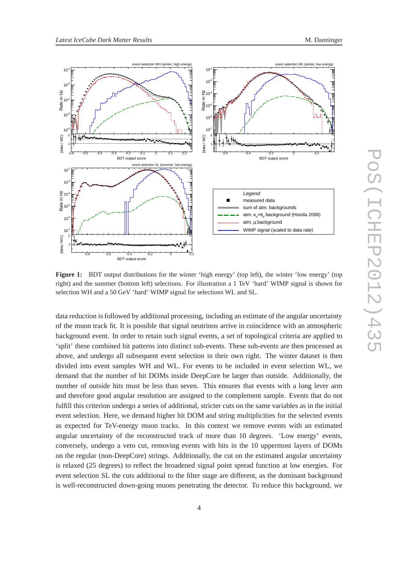

**Figure 1:** BDT output distributions for the winter 'high energy' (top left), the winter 'low energy' (top right) and the summer (bottom left) selections. For illustration a 1 TeV 'hard' WIMP signal is shown for selection WH and a 50 GeV 'hard' WIMP signal for selections WL and SL.

data reduction is followed by additional processing, including an estimate of the angular uncertainty of the muon track fit. It is possible that signal neutrinos arrive in coincidence with an atmospheric background event. In order to retain such signal events, a set of topological criteria are applied to 'split' these combined hit patterns into distinct sub-events. These sub-events are then processed as above, and undergo all subsequent event selection in their own right. The winter dataset is then divided into event samples WH and WL. For events to be included in event selection WL, we demand that the number of hit DOMs inside DeepCore be larger than outside. Additionally, the number of outside hits must be less than seven. This ensures that events with a long lever arm and therefore good angular resolution are assigned to the complement sample. Events that do not fulfill this criterion undergo a series of additional, stricter cuts on the same variables as in the initial event selection. Here, we demand higher hit DOM and string multiplicities for the selected events as expected for TeV-energy muon tracks. In this context we remove events with an estimated angular uncertainty of the reconstructed track of more than 10 degrees. 'Low energy' events, conversely, undergo a veto cut, removing events with hits in the 10 uppermost layers of DOMs on the regular (non-DeepCore) strings. Additionally, the cut on the estimated angular uncertainty is relaxed (25 degrees) to reflect the broadened signal point spread function at low energies. For event selection SL the cuts additional to the filter stage are different, as the dominant background is well-reconstructed down-going muons penetrating the detector. To reduce this background, we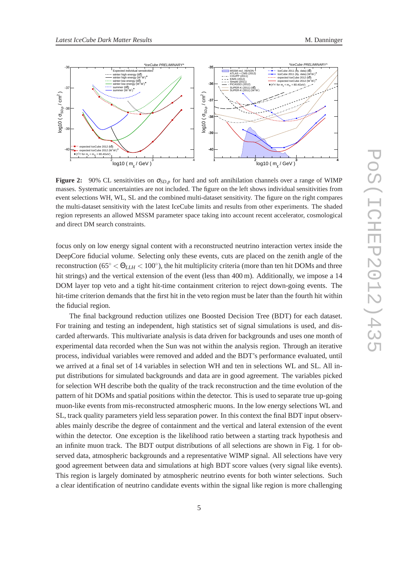



**Figure 2:** 90% CL sensitivities on  $\sigma_{SD,p}$  for hard and soft annihilation channels over a range of WIMP masses. Systematic uncertainties are not included. The figure on the left shows individual sensitivities from event selections WH, WL, SL and the combined multi-dataset sensitivity. The figure on the right compares the multi-dataset sensitivity with the latest IceCube limits and results from other experiments. The shaded region represents an allowed MSSM parameter space taking into account recent accelerator, cosmological and direct DM search constraints.

focus only on low energy signal content with a reconstructed neutrino interaction vertex inside the DeepCore fiducial volume. Selecting only these events, cuts are placed on the zenith angle of the reconstruction (65◦ < Θ*LLH* < 100◦ ), the hit multiplicity criteria (more than ten hit DOMs and three hit strings) and the vertical extension of the event (less than 400 m). Additionally, we impose a 14 DOM layer top veto and a tight hit-time containment criterion to reject down-going events. The hit-time criterion demands that the first hit in the veto region must be later than the fourth hit within the fiducial region.

The final background reduction utilizes one Boosted Decision Tree (BDT) for each dataset. For training and testing an independent, high statistics set of signal simulations is used, and discarded afterwards. This multivariate analysis is data driven for backgrounds and uses one month of experimental data recorded when the Sun was not within the analysis region. Through an iterative process, individual variables were removed and added and the BDT's performance evaluated, until we arrived at a final set of 14 variables in selection WH and ten in selections WL and SL. All input distributions for simulated backgrounds and data are in good agreement. The variables picked for selection WH describe both the quality of the track reconstruction and the time evolution of the pattern of hit DOMs and spatial positions within the detector. This is used to separate true up-going muon-like events from mis-reconstructed atmospheric muons. In the low energy selections WL and SL, track quality parameters yield less separation power. In this context the final BDT input observables mainly describe the degree of containment and the vertical and lateral extension of the event within the detector. One exception is the likelihood ratio between a starting track hypothesis and an infinite muon track. The BDT output distributions of all selections are shown in Fig. 1 for observed data, atmospheric backgrounds and a representative WIMP signal. All selections have very good agreement between data and simulations at high BDT score values (very signal like events). This region is largely dominated by atmospheric neutrino events for both winter selections. Such a clear identification of neutrino candidate events within the signal like region is more challenging